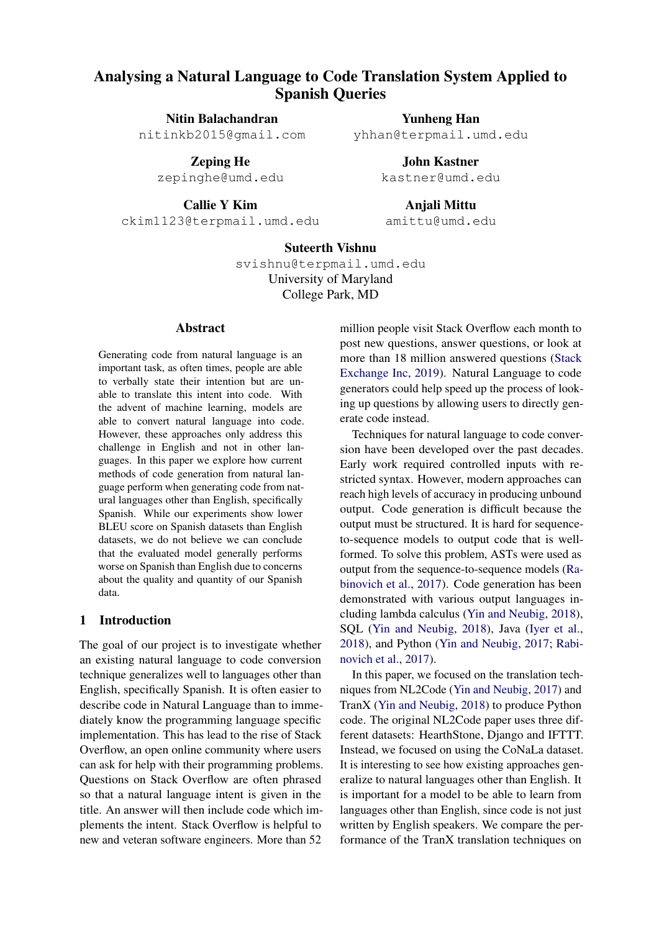# Analysing a Natural Language to Code Translation System Applied to Spanish Queries

Nitin Balachandran nitinkb2015@gmail.com

> Zeping He zepinghe@umd.edu

> > Callie Y Kim

ckim1123@terpmail.umd.edu

Yunheng Han yhhan@terpmail.umd.edu

> John Kastner kastner@umd.edu

Anjali Mittu amittu@umd.edu

# Suteerth Vishnu

svishnu@terpmail.umd.edu University of Maryland College Park, MD

#### Abstract

Generating code from natural language is an important task, as often times, people are able to verbally state their intention but are unable to translate this intent into code. With the advent of machine learning, models are able to convert natural language into code. However, these approaches only address this challenge in English and not in other languages. In this paper we explore how current methods of code generation from natural language perform when generating code from natural languages other than English, specifically Spanish. While our experiments show lower BLEU score on Spanish datasets than English datasets, we do not believe we can conclude that the evaluated model generally performs worse on Spanish than English due to concerns about the quality and quantity of our Spanish data.

#### 1 Introduction

The goal of our project is to investigate whether an existing natural language to code conversion technique generalizes well to languages other than English, specifically Spanish. It is often easier to describe code in Natural Language than to immediately know the programming language specific implementation. This has lead to the rise of Stack Overflow, an open online community where users can ask for help with their programming problems. Questions on Stack Overflow are often phrased so that a natural language intent is given in the title. An answer will then include code which implements the intent. Stack Overflow is helpful to new and veteran software engineers. More than 52

million people visit Stack Overflow each month to post new questions, answer questions, or look at more than 18 million answered questions [\(Stack](#page-6-0) [Exchange Inc,](#page-6-0) [2019\)](#page-6-0). Natural Language to code generators could help speed up the process of looking up questions by allowing users to directly generate code instead.

Techniques for natural language to code conversion have been developed over the past decades. Early work required controlled inputs with restricted syntax. However, modern approaches can reach high levels of accuracy in producing unbound output. Code generation is difficult because the output must be structured. It is hard for sequenceto-sequence models to output code that is wellformed. To solve this problem, ASTs were used as output from the sequence-to-sequence models [\(Ra](#page-6-1)[binovich et al.,](#page-6-1) [2017\)](#page-6-1). Code generation has been demonstrated with various output languages including lambda calculus [\(Yin and Neubig,](#page-6-2) [2018\)](#page-6-2), SQL [\(Yin and Neubig,](#page-6-2) [2018\)](#page-6-2), Java [\(Iyer et al.,](#page-6-3) [2018\)](#page-6-3), and Python [\(Yin and Neubig,](#page-6-4) [2017;](#page-6-4) [Rabi](#page-6-1)[novich et al.,](#page-6-1) [2017\)](#page-6-1).

In this paper, we focused on the translation techniques from NL2Code [\(Yin and Neubig,](#page-6-4) [2017\)](#page-6-4) and TranX [\(Yin and Neubig,](#page-6-2) [2018\)](#page-6-2) to produce Python code. The original NL2Code paper uses three different datasets: HearthStone, Django and IFTTT. Instead, we focused on using the CoNaLa dataset. It is interesting to see how existing approaches generalize to natural languages other than English. It is important for a model to be able to learn from languages other than English, since code is not just written by English speakers. We compare the performance of the TranX translation techniques on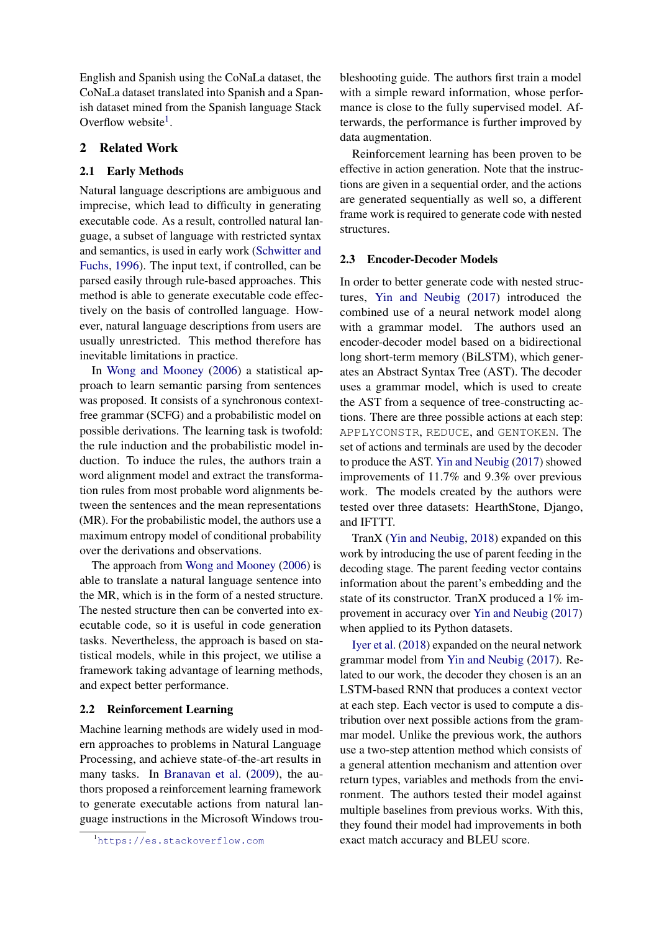English and Spanish using the CoNaLa dataset, the CoNaLa dataset translated into Spanish and a Spanish dataset mined from the Spanish language Stack Overflow website<sup>[1](#page-1-0)</sup>.

## 2 Related Work

#### 2.1 Early Methods

Natural language descriptions are ambiguous and imprecise, which lead to difficulty in generating executable code. As a result, controlled natural language, a subset of language with restricted syntax and semantics, is used in early work [\(Schwitter and](#page-6-5) [Fuchs,](#page-6-5) [1996\)](#page-6-5). The input text, if controlled, can be parsed easily through rule-based approaches. This method is able to generate executable code effectively on the basis of controlled language. However, natural language descriptions from users are usually unrestricted. This method therefore has inevitable limitations in practice.

In [Wong and Mooney](#page-6-6) [\(2006\)](#page-6-6) a statistical approach to learn semantic parsing from sentences was proposed. It consists of a synchronous contextfree grammar (SCFG) and a probabilistic model on possible derivations. The learning task is twofold: the rule induction and the probabilistic model induction. To induce the rules, the authors train a word alignment model and extract the transformation rules from most probable word alignments between the sentences and the mean representations (MR). For the probabilistic model, the authors use a maximum entropy model of conditional probability over the derivations and observations.

The approach from [Wong and Mooney](#page-6-6) [\(2006\)](#page-6-6) is able to translate a natural language sentence into the MR, which is in the form of a nested structure. The nested structure then can be converted into executable code, so it is useful in code generation tasks. Nevertheless, the approach is based on statistical models, while in this project, we utilise a framework taking advantage of learning methods, and expect better performance.

#### 2.2 Reinforcement Learning

Machine learning methods are widely used in modern approaches to problems in Natural Language Processing, and achieve state-of-the-art results in many tasks. In [Branavan et al.](#page-6-7) [\(2009\)](#page-6-7), the authors proposed a reinforcement learning framework to generate executable actions from natural language instructions in the Microsoft Windows troubleshooting guide. The authors first train a model with a simple reward information, whose performance is close to the fully supervised model. Afterwards, the performance is further improved by data augmentation.

Reinforcement learning has been proven to be effective in action generation. Note that the instructions are given in a sequential order, and the actions are generated sequentially as well so, a different frame work is required to generate code with nested structures.

#### 2.3 Encoder-Decoder Models

In order to better generate code with nested structures, [Yin and Neubig](#page-6-4) [\(2017\)](#page-6-4) introduced the combined use of a neural network model along with a grammar model. The authors used an encoder-decoder model based on a bidirectional long short-term memory (BiLSTM), which generates an Abstract Syntax Tree (AST). The decoder uses a grammar model, which is used to create the AST from a sequence of tree-constructing actions. There are three possible actions at each step: APPLYCONSTR, REDUCE, and GENTOKEN. The set of actions and terminals are used by the decoder to produce the AST. [Yin and Neubig](#page-6-4) [\(2017\)](#page-6-4) showed improvements of 11.7% and 9.3% over previous work. The models created by the authors were tested over three datasets: HearthStone, Django, and IFTTT.

TranX [\(Yin and Neubig,](#page-6-2) [2018\)](#page-6-2) expanded on this work by introducing the use of parent feeding in the decoding stage. The parent feeding vector contains information about the parent's embedding and the state of its constructor. TranX produced a 1% improvement in accuracy over [Yin and Neubig](#page-6-4) [\(2017\)](#page-6-4) when applied to its Python datasets.

[Iyer et al.](#page-6-3) [\(2018\)](#page-6-3) expanded on the neural network grammar model from [Yin and Neubig](#page-6-4) [\(2017\)](#page-6-4). Related to our work, the decoder they chosen is an an LSTM-based RNN that produces a context vector at each step. Each vector is used to compute a distribution over next possible actions from the grammar model. Unlike the previous work, the authors use a two-step attention method which consists of a general attention mechanism and attention over return types, variables and methods from the environment. The authors tested their model against multiple baselines from previous works. With this, they found their model had improvements in both exact match accuracy and BLEU score.

<span id="page-1-0"></span><sup>1</sup><https://es.stackoverflow.com>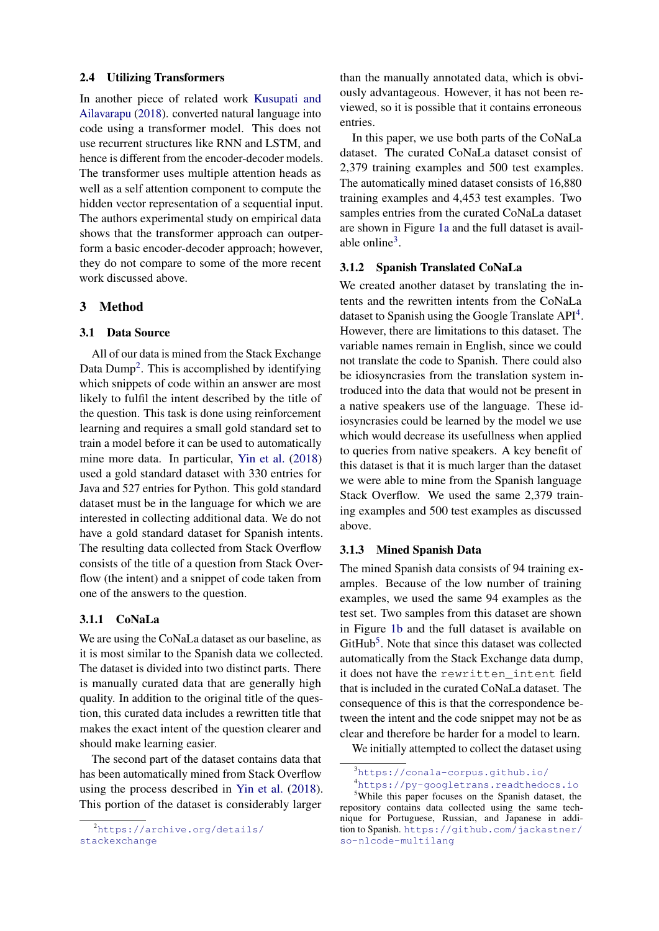#### 2.4 Utilizing Transformers

In another piece of related work [Kusupati and](#page-6-8) [Ailavarapu](#page-6-8) [\(2018\)](#page-6-8). converted natural language into code using a transformer model. This does not use recurrent structures like RNN and LSTM, and hence is different from the encoder-decoder models. The transformer uses multiple attention heads as well as a self attention component to compute the hidden vector representation of a sequential input. The authors experimental study on empirical data shows that the transformer approach can outperform a basic encoder-decoder approach; however, they do not compare to some of the more recent work discussed above.

## 3 Method

#### 3.1 Data Source

All of our data is mined from the Stack Exchange Data Dump<sup>[2](#page-2-0)</sup>. This is accomplished by identifying which snippets of code within an answer are most likely to fulfil the intent described by the title of the question. This task is done using reinforcement learning and requires a small gold standard set to train a model before it can be used to automatically mine more data. In particular, [Yin et al.](#page-6-9) [\(2018\)](#page-6-9) used a gold standard dataset with 330 entries for Java and 527 entries for Python. This gold standard dataset must be in the language for which we are interested in collecting additional data. We do not have a gold standard dataset for Spanish intents. The resulting data collected from Stack Overflow consists of the title of a question from Stack Overflow (the intent) and a snippet of code taken from one of the answers to the question.

#### 3.1.1 CoNaLa

We are using the CoNaLa dataset as our baseline, as it is most similar to the Spanish data we collected. The dataset is divided into two distinct parts. There is manually curated data that are generally high quality. In addition to the original title of the question, this curated data includes a rewritten title that makes the exact intent of the question clearer and should make learning easier.

The second part of the dataset contains data that has been automatically mined from Stack Overflow using the process described in [Yin et al.](#page-6-9) [\(2018\)](#page-6-9). This portion of the dataset is considerably larger

than the manually annotated data, which is obviously advantageous. However, it has not been reviewed, so it is possible that it contains erroneous entries.

In this paper, we use both parts of the CoNaLa dataset. The curated CoNaLa dataset consist of 2,379 training examples and 500 test examples. The automatically mined dataset consists of 16,880 training examples and 4,453 test examples. Two samples entries from the curated CoNaLa dataset are shown in Figure [1a](#page-3-0) and the full dataset is avail-able online<sup>[3](#page-2-1)</sup>.

## 3.1.2 Spanish Translated CoNaLa

We created another dataset by translating the intents and the rewritten intents from the CoNaLa dataset to Spanish using the Google Translate API<sup>[4](#page-2-2)</sup>. However, there are limitations to this dataset. The variable names remain in English, since we could not translate the code to Spanish. There could also be idiosyncrasies from the translation system introduced into the data that would not be present in a native speakers use of the language. These idiosyncrasies could be learned by the model we use which would decrease its usefullness when applied to queries from native speakers. A key benefit of this dataset is that it is much larger than the dataset we were able to mine from the Spanish language Stack Overflow. We used the same 2,379 training examples and 500 test examples as discussed above.

#### 3.1.3 Mined Spanish Data

The mined Spanish data consists of 94 training examples. Because of the low number of training examples, we used the same 94 examples as the test set. Two samples from this dataset are shown in Figure [1b](#page-3-0) and the full dataset is available on GitHub<sup>[5](#page-2-3)</sup>. Note that since this dataset was collected automatically from the Stack Exchange data dump, it does not have the rewritten\_intent field that is included in the curated CoNaLa dataset. The consequence of this is that the correspondence between the intent and the code snippet may not be as clear and therefore be harder for a model to learn.

We initially attempted to collect the dataset using

<span id="page-2-2"></span><span id="page-2-1"></span><sup>3</sup><https://conala-corpus.github.io/>

<span id="page-2-0"></span><sup>2</sup>[https://archive.org/details/](https://archive.org/details/stackexchange) [stackexchange](https://archive.org/details/stackexchange)

<span id="page-2-3"></span><sup>4</sup><https://py-googletrans.readthedocs.io> <sup>5</sup>While this paper focuses on the Spanish dataset, the repository contains data collected using the same technique for Portuguese, Russian, and Japanese in addition to Spanish. [https://github.com/jackastner/](https://github.com/jackastner/so-nlcode-multilang) [so-nlcode-multilang](https://github.com/jackastner/so-nlcode-multilang)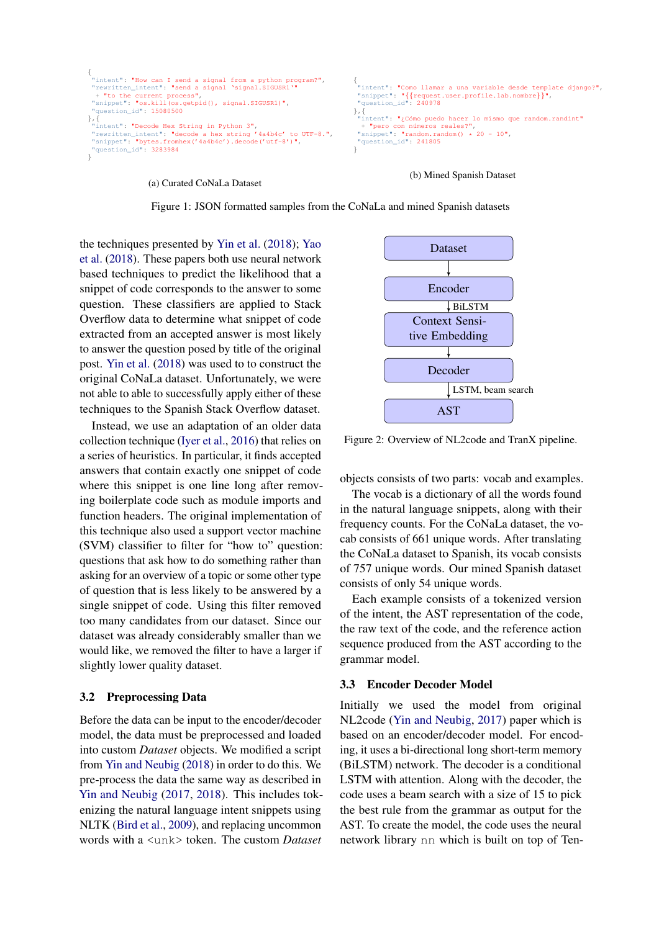```
{
"intent": "How can I send a signal from a python program?",
"rewritten_intent": "send a signal 'signal.SIGUSR1'"
 + "to the current process",
"snippet": "os.kill(os.getpid(), signal.SIGUSR1)",
 "question_id": 15080500
},{
"intent": "Decode Hex String in Python 3",
"rewritten_intent": "decode a hex string '4a4b4c' to UTF-8.",
"snippet": "bytes.fromhex('4a4b4c').decode('utf-8')",
 "snippet": "bytes.fromhex('4a4b4c').decode('utf-8')",<br>"question_id": 3283984
}
                                                                                                           {
                                                                                                            "intent": "Como llamar a una variable desde template django?",
                                                                                                            "snippet": "{{request.user.profile.lab.nombre}}",
"question_id": 240978
                                                                                                          },{
                                                                                                             ''intent": <mark>"¿Cómo puedo hacer lo mismo que random.randint"</mark>
                                                                                                            + "pero con n´umeros reales?",
"snippet": "random.random() * 20 - 10",
                                                                                                            "question_id": 241805
                                                                                                          }
```
(a) Curated CoNaLa Dataset

(b) Mined Spanish Dataset

Figure 1: JSON formatted samples from the CoNaLa and mined Spanish datasets

the techniques presented by [Yin et al.](#page-6-9) [\(2018\)](#page-6-9); [Yao](#page-6-10) [et al.](#page-6-10) [\(2018\)](#page-6-10). These papers both use neural network based techniques to predict the likelihood that a snippet of code corresponds to the answer to some question. These classifiers are applied to Stack Overflow data to determine what snippet of code extracted from an accepted answer is most likely to answer the question posed by title of the original post. [Yin et al.](#page-6-9) [\(2018\)](#page-6-9) was used to to construct the original CoNaLa dataset. Unfortunately, we were not able to able to successfully apply either of these techniques to the Spanish Stack Overflow dataset.

Instead, we use an adaptation of an older data collection technique [\(Iyer et al.,](#page-6-11) [2016\)](#page-6-11) that relies on a series of heuristics. In particular, it finds accepted answers that contain exactly one snippet of code where this snippet is one line long after removing boilerplate code such as module imports and function headers. The original implementation of this technique also used a support vector machine (SVM) classifier to filter for "how to" question: questions that ask how to do something rather than asking for an overview of a topic or some other type of question that is less likely to be answered by a single snippet of code. Using this filter removed too many candidates from our dataset. Since our dataset was already considerably smaller than we would like, we removed the filter to have a larger if slightly lower quality dataset.

#### 3.2 Preprocessing Data

Before the data can be input to the encoder/decoder model, the data must be preprocessed and loaded into custom *Dataset* objects. We modified a script from [Yin and Neubig](#page-6-2) [\(2018\)](#page-6-2) in order to do this. We pre-process the data the same way as described in [Yin and Neubig](#page-6-4) [\(2017,](#page-6-4) [2018\)](#page-6-2). This includes tokenizing the natural language intent snippets using NLTK [\(Bird et al.,](#page-6-12) [2009\)](#page-6-12), and replacing uncommon words with a <unk> token. The custom *Dataset*

<span id="page-3-1"></span>

Figure 2: Overview of NL2code and TranX pipeline.

objects consists of two parts: vocab and examples.

The vocab is a dictionary of all the words found in the natural language snippets, along with their frequency counts. For the CoNaLa dataset, the vocab consists of 661 unique words. After translating the CoNaLa dataset to Spanish, its vocab consists of 757 unique words. Our mined Spanish dataset consists of only 54 unique words.

Each example consists of a tokenized version of the intent, the AST representation of the code, the raw text of the code, and the reference action sequence produced from the AST according to the grammar model.

## 3.3 Encoder Decoder Model

Initially we used the model from original NL2code [\(Yin and Neubig,](#page-6-4) [2017\)](#page-6-4) paper which is based on an encoder/decoder model. For encoding, it uses a bi-directional long short-term memory (BiLSTM) network. The decoder is a conditional LSTM with attention. Along with the decoder, the code uses a beam search with a size of 15 to pick the best rule from the grammar as output for the AST. To create the model, the code uses the neural network library nn which is built on top of Ten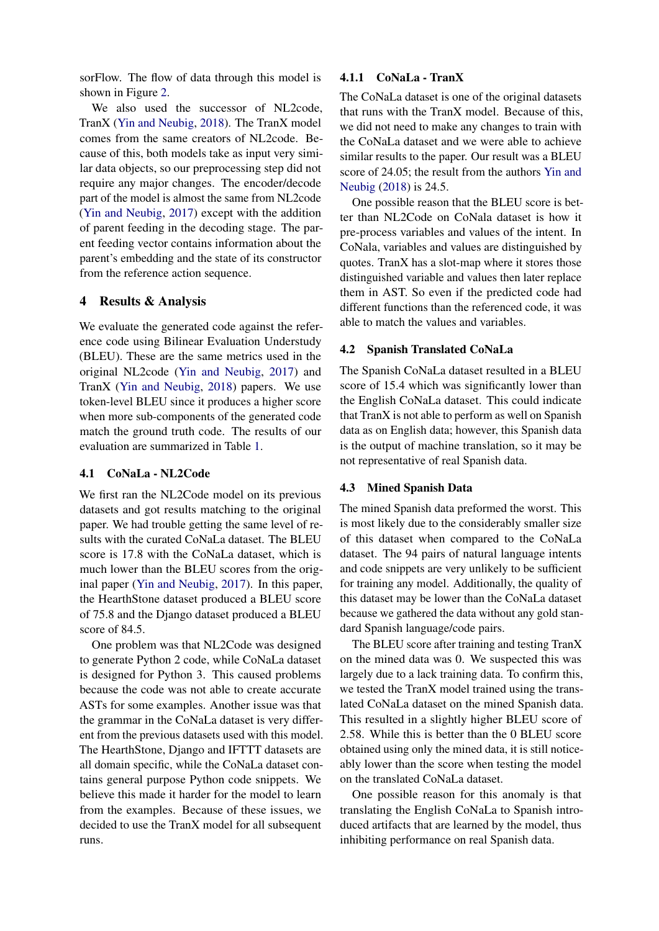sorFlow. The flow of data through this model is shown in Figure [2.](#page-3-1)

We also used the successor of NL2code, TranX [\(Yin and Neubig,](#page-6-2) [2018\)](#page-6-2). The TranX model comes from the same creators of NL2code. Because of this, both models take as input very similar data objects, so our preprocessing step did not require any major changes. The encoder/decode part of the model is almost the same from NL2code [\(Yin and Neubig,](#page-6-4) [2017\)](#page-6-4) except with the addition of parent feeding in the decoding stage. The parent feeding vector contains information about the parent's embedding and the state of its constructor from the reference action sequence.

## 4 Results & Analysis

We evaluate the generated code against the reference code using Bilinear Evaluation Understudy (BLEU). These are the same metrics used in the original NL2code [\(Yin and Neubig,](#page-6-4) [2017\)](#page-6-4) and TranX [\(Yin and Neubig,](#page-6-2) [2018\)](#page-6-2) papers. We use token-level BLEU since it produces a higher score when more sub-components of the generated code match the ground truth code. The results of our evaluation are summarized in Table [1.](#page-5-0)

#### 4.1 CoNaLa - NL2Code

We first ran the NL2Code model on its previous datasets and got results matching to the original paper. We had trouble getting the same level of results with the curated CoNaLa dataset. The BLEU score is 17.8 with the CoNaLa dataset, which is much lower than the BLEU scores from the original paper [\(Yin and Neubig,](#page-6-4) [2017\)](#page-6-4). In this paper, the HearthStone dataset produced a BLEU score of 75.8 and the Django dataset produced a BLEU score of 84.5.

One problem was that NL2Code was designed to generate Python 2 code, while CoNaLa dataset is designed for Python 3. This caused problems because the code was not able to create accurate ASTs for some examples. Another issue was that the grammar in the CoNaLa dataset is very different from the previous datasets used with this model. The HearthStone, Django and IFTTT datasets are all domain specific, while the CoNaLa dataset contains general purpose Python code snippets. We believe this made it harder for the model to learn from the examples. Because of these issues, we decided to use the TranX model for all subsequent runs.

## 4.1.1 CoNaLa - TranX

The CoNaLa dataset is one of the original datasets that runs with the TranX model. Because of this, we did not need to make any changes to train with the CoNaLa dataset and we were able to achieve similar results to the paper. Our result was a BLEU score of 24.05; the result from the authors [Yin and](#page-6-2) [Neubig](#page-6-2) [\(2018\)](#page-6-2) is 24.5.

One possible reason that the BLEU score is better than NL2Code on CoNala dataset is how it pre-process variables and values of the intent. In CoNala, variables and values are distinguished by quotes. TranX has a slot-map where it stores those distinguished variable and values then later replace them in AST. So even if the predicted code had different functions than the referenced code, it was able to match the values and variables.

## 4.2 Spanish Translated CoNaLa

The Spanish CoNaLa dataset resulted in a BLEU score of 15.4 which was significantly lower than the English CoNaLa dataset. This could indicate that TranX is not able to perform as well on Spanish data as on English data; however, this Spanish data is the output of machine translation, so it may be not representative of real Spanish data.

#### 4.3 Mined Spanish Data

The mined Spanish data preformed the worst. This is most likely due to the considerably smaller size of this dataset when compared to the CoNaLa dataset. The 94 pairs of natural language intents and code snippets are very unlikely to be sufficient for training any model. Additionally, the quality of this dataset may be lower than the CoNaLa dataset because we gathered the data without any gold standard Spanish language/code pairs.

The BLEU score after training and testing TranX on the mined data was 0. We suspected this was largely due to a lack training data. To confirm this, we tested the TranX model trained using the translated CoNaLa dataset on the mined Spanish data. This resulted in a slightly higher BLEU score of 2.58. While this is better than the 0 BLEU score obtained using only the mined data, it is still noticeably lower than the score when testing the model on the translated CoNaLa dataset.

One possible reason for this anomaly is that translating the English CoNaLa to Spanish introduced artifacts that are learned by the model, thus inhibiting performance on real Spanish data.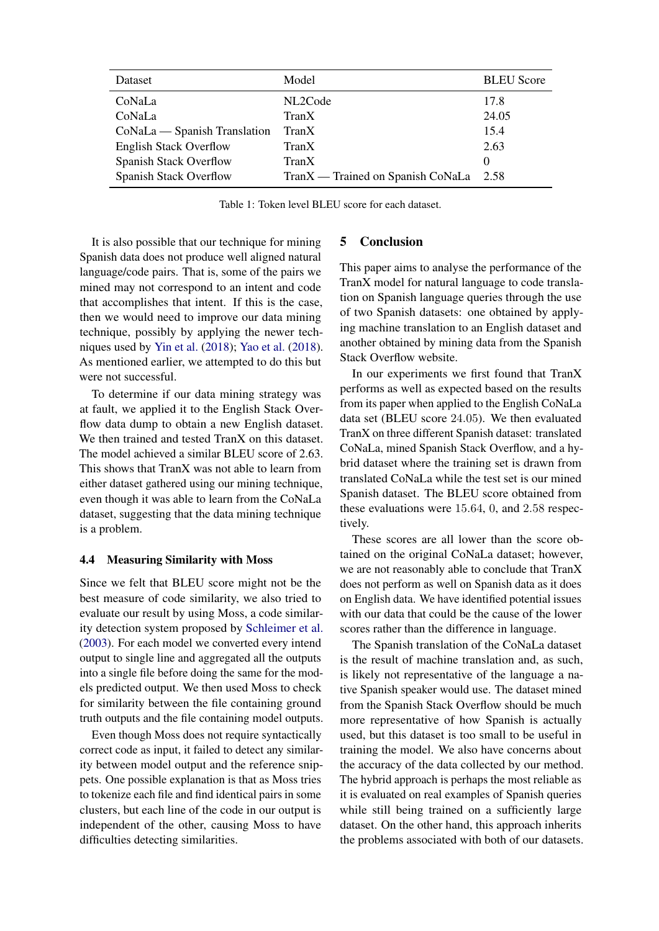<span id="page-5-0"></span>

| Dataset                       | Model                             | <b>BLEU</b> Score |
|-------------------------------|-----------------------------------|-------------------|
| CoNaLa                        | NL2Code                           | 17.8              |
| CoNaLa                        | TranX                             | 24.05             |
| CoNaLa — Spanish Translation  | TranX                             | 15.4              |
| <b>English Stack Overflow</b> | TranX                             | 2.63              |
| Spanish Stack Overflow        | TranX                             | $\Omega$          |
| Spanish Stack Overflow        | TranX — Trained on Spanish CoNaLa | 2.58              |

Table 1: Token level BLEU score for each dataset.

It is also possible that our technique for mining Spanish data does not produce well aligned natural language/code pairs. That is, some of the pairs we mined may not correspond to an intent and code that accomplishes that intent. If this is the case, then we would need to improve our data mining technique, possibly by applying the newer techniques used by [Yin et al.](#page-6-9) [\(2018\)](#page-6-9); [Yao et al.](#page-6-10) [\(2018\)](#page-6-10). As mentioned earlier, we attempted to do this but were not successful.

To determine if our data mining strategy was at fault, we applied it to the English Stack Overflow data dump to obtain a new English dataset. We then trained and tested TranX on this dataset. The model achieved a similar BLEU score of 2.63. This shows that TranX was not able to learn from either dataset gathered using our mining technique, even though it was able to learn from the CoNaLa dataset, suggesting that the data mining technique is a problem.

#### 4.4 Measuring Similarity with Moss

Since we felt that BLEU score might not be the best measure of code similarity, we also tried to evaluate our result by using Moss, a code similarity detection system proposed by [Schleimer et al.](#page-6-13) [\(2003\)](#page-6-13). For each model we converted every intend output to single line and aggregated all the outputs into a single file before doing the same for the models predicted output. We then used Moss to check for similarity between the file containing ground truth outputs and the file containing model outputs.

Even though Moss does not require syntactically correct code as input, it failed to detect any similarity between model output and the reference snippets. One possible explanation is that as Moss tries to tokenize each file and find identical pairs in some clusters, but each line of the code in our output is independent of the other, causing Moss to have difficulties detecting similarities.

#### 5 Conclusion

This paper aims to analyse the performance of the TranX model for natural language to code translation on Spanish language queries through the use of two Spanish datasets: one obtained by applying machine translation to an English dataset and another obtained by mining data from the Spanish Stack Overflow website.

In our experiments we first found that TranX performs as well as expected based on the results from its paper when applied to the English CoNaLa data set (BLEU score 24.05). We then evaluated TranX on three different Spanish dataset: translated CoNaLa, mined Spanish Stack Overflow, and a hybrid dataset where the training set is drawn from translated CoNaLa while the test set is our mined Spanish dataset. The BLEU score obtained from these evaluations were 15.64, 0, and 2.58 respectively.

These scores are all lower than the score obtained on the original CoNaLa dataset; however, we are not reasonably able to conclude that TranX does not perform as well on Spanish data as it does on English data. We have identified potential issues with our data that could be the cause of the lower scores rather than the difference in language.

The Spanish translation of the CoNaLa dataset is the result of machine translation and, as such, is likely not representative of the language a native Spanish speaker would use. The dataset mined from the Spanish Stack Overflow should be much more representative of how Spanish is actually used, but this dataset is too small to be useful in training the model. We also have concerns about the accuracy of the data collected by our method. The hybrid approach is perhaps the most reliable as it is evaluated on real examples of Spanish queries while still being trained on a sufficiently large dataset. On the other hand, this approach inherits the problems associated with both of our datasets.